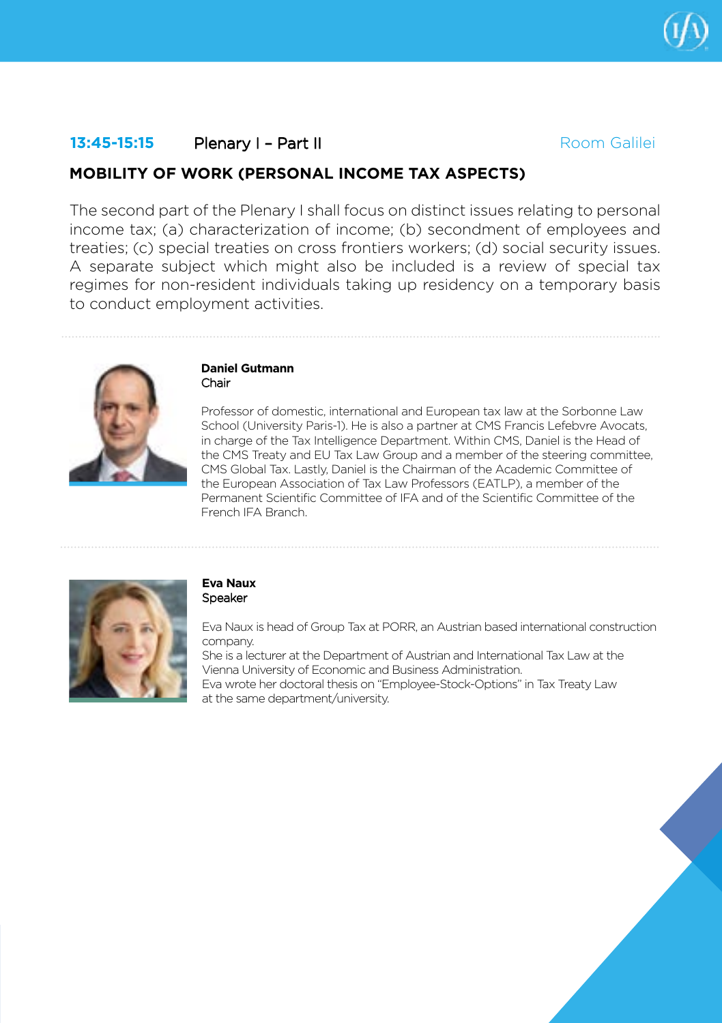# **13:45-15:15 Plenary I – Part II Room Galilei**

## **MOBILITY OF WORK (PERSONAL INCOME TAX ASPECTS)**

The second part of the Plenary I shall focus on distinct issues relating to personal income tax; (a) characterization of income; (b) secondment of employees and treaties; (c) special treaties on cross frontiers workers; (d) social security issues. A separate subject which might also be included is a review of special tax regimes for non-resident individuals taking up residency on a temporary basis to conduct employment activities.



#### **Daniel Gutmann** Chair

Professor of domestic, international and European tax law at the Sorbonne Law School (University Paris-1). He is also a partner at CMS Francis Lefebvre Avocats, in charge of the Tax Intelligence Department. Within CMS, Daniel is the Head of the CMS Treaty and EU Tax Law Group and a member of the steering committee, CMS Global Tax. Lastly, Daniel is the Chairman of the Academic Committee of the European Association of Tax Law Professors (EATLP), a member of the Permanent Scientific Committee of IFA and of the Scientific Committee of the French IFA Branch.



#### **Eva Naux** Speaker

Eva Naux is head of Group Tax at PORR, an Austrian based international construction company.

She is a lecturer at the Department of Austrian and International Tax Law at the Vienna University of Economic and Business Administration.

Eva wrote her doctoral thesis on "Employee-Stock-Options" in Tax Treaty Law at the same department/university.